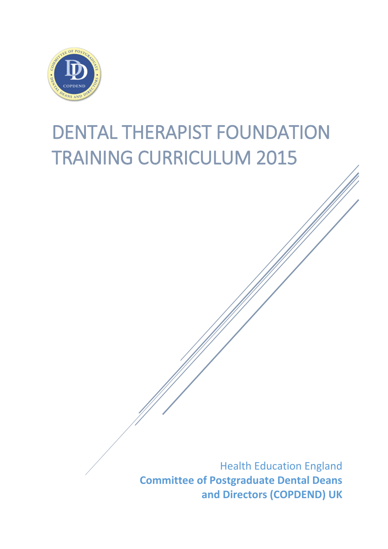

# DENTAL THERAPIST FOUNDATION TRAINING CURRICULUM 2015

Health Education England **Committee of Postgraduate Dental Deans and Directors (COPDEND) UK**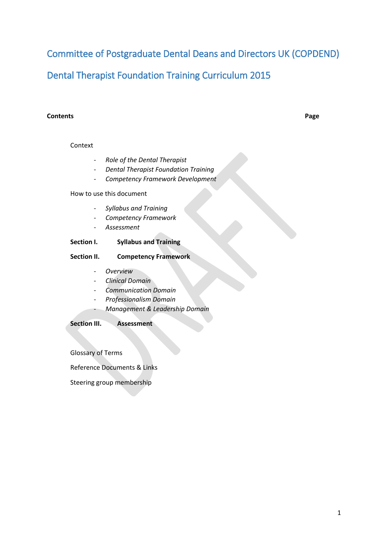Committee of Postgraduate Dental Deans and Directors UK (COPDEND)

Dental Therapist Foundation Training Curriculum 2015

#### **Contents Page**

#### Context

- *Role of the Dental Therapist*
- *Dental Therapist Foundation Training*
- *Competency Framework Development*

#### How to use this document

- *Syllabus and Training*
- *Competency Framework*
- *Assessment*

#### **Section I. Syllabus and Training**

#### **Section II. Competency Framework**

- *Overview*
- *Clinical Domain*
- *Communication Domain*
- *Professionalism Domain*
- *Management & Leadership Domain*

#### **Section III. Assessment**

Glossary of Terms

Reference Documents & Links

Steering group membership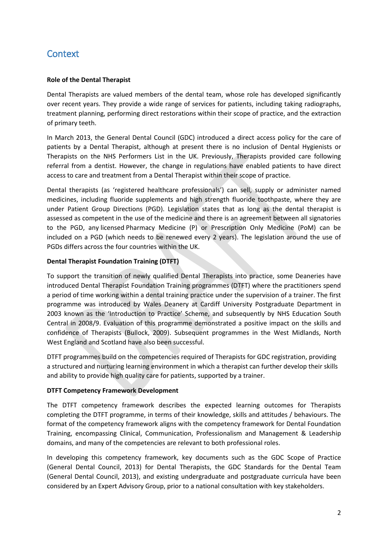## **Context**

#### **Role of the Dental Therapist**

Dental Therapists are valued members of the dental team, whose role has developed significantly over recent years. They provide a wide range of services for patients, including taking radiographs, treatment planning, performing direct restorations within their scope of practice, and the extraction of primary teeth.

In March 2013, the General Dental Council (GDC) introduced a direct access policy for the care of patients by a Dental Therapist, although at present there is no inclusion of Dental Hygienists or Therapists on the NHS Performers List in the UK. Previously, Therapists provided care following referral from a dentist. However, the change in regulations have enabled patients to have direct access to care and treatment from a Dental Therapist within their scope of practice.

Dental therapists (as 'registered healthcare professionals') can sell, supply or administer named medicines, including fluoride supplements and high strength fluoride toothpaste, where they are under Patient Group Directions (PGD). Legislation states that as long as the dental therapist is assessed as competent in the use of the medicine and there is an agreement between all signatories to the PGD, any licensed Pharmacy Medicine (P) or Prescription Only Medicine (PoM) can be included on a PGD (which needs to be renewed every 2 years). The legislation around the use of PGDs differs across the four countries within the UK.

#### **Dental Therapist Foundation Training (DTFT)**

To support the transition of newly qualified Dental Therapists into practice, some Deaneries have introduced Dental Therapist Foundation Training programmes (DTFT) where the practitioners spend a period of time working within a dental training practice under the supervision of a trainer. The first programme was introduced by Wales Deanery at Cardiff University Postgraduate Department in 2003 known as the 'Introduction to Practice' Scheme, and subsequently by NHS Education South Central in 2008/9. Evaluation of this programme demonstrated a positive impact on the skills and confidence of Therapists (Bullock, 2009). Subsequent programmes in the West Midlands, North West England and Scotland have also been successful.

DTFT programmes build on the competencies required of Therapists for GDC registration, providing a structured and nurturing learning environment in which a therapist can further develop their skills and ability to provide high quality care for patients, supported by a trainer.

#### **DTFT Competency Framework Development**

The DTFT competency framework describes the expected learning outcomes for Therapists completing the DTFT programme, in terms of their knowledge, skills and attitudes / behaviours. The format of the competency framework aligns with the competency framework for Dental Foundation Training, encompassing Clinical, Communication, Professionalism and Management & Leadership domains, and many of the competencies are relevant to both professional roles.

In developing this competency framework, key documents such as the GDC Scope of Practice (General Dental Council, 2013) for Dental Therapists, the GDC Standards for the Dental Team (General Dental Council, 2013), and existing undergraduate and postgraduate curricula have been considered by an Expert Advisory Group, prior to a national consultation with key stakeholders.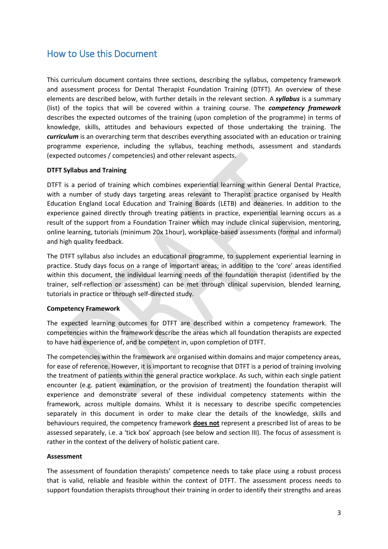## How to Use this Document

This curriculum document contains three sections, describing the syllabus, competency framework and assessment process for Dental Therapist Foundation Training (DTFT). An overview of these elements are described below, with further details in the relevant section. A *syllabus* is a summary (list) of the topics that will be covered within a training course. The *competency framework* describes the expected outcomes of the training (upon completion of the programme) in terms of knowledge, skills, attitudes and behaviours expected of those undertaking the training. The *curriculum* is an overarching term that describes everything associated with an education or training programme experience, including the syllabus, teaching methods, assessment and standards (expected outcomes / competencies) and other relevant aspects.

#### **DTFT Syllabus and Training**

DTFT is a period of training which combines experiential learning within General Dental Practice, with a number of study days targeting areas relevant to Therapist practice organised by Health Education England Local Education and Training Boards (LETB) and deaneries. In addition to the experience gained directly through treating patients in practice, experiential learning occurs as a result of the support from a Foundation Trainer which may include clinical supervision, mentoring, online learning, tutorials (minimum 20x 1hour), workplace-based assessments (formal and informal) and high quality feedback.

The DTFT syllabus also includes an educational programme, to supplement experiential learning in practice. Study days focus on a range of important areas; in addition to the 'core' areas identified within this document, the individual learning needs of the foundation therapist (identified by the trainer, self-reflection or assessment) can be met through clinical supervision, blended learning, tutorials in practice or through self-directed study.

#### **Competency Framework**

The expected learning outcomes for DTFT are described within a competency framework. The competencies within the framework describe the areas which all foundation therapists are expected to have had experience of, and be competent in, upon completion of DTFT.

The competencies within the framework are organised within domains and major competency areas, for ease of reference. However, it is important to recognise that DTFT is a period of training involving the treatment of patients within the general practice workplace. As such, within each single patient encounter (e.g. patient examination, or the provision of treatment) the foundation therapist will experience and demonstrate several of these individual competency statements within the framework, across multiple domains. Whilst it is necessary to describe specific competencies separately in this document in order to make clear the details of the knowledge, skills and behaviours required, the competency framework **does not** represent a prescribed list of areas to be assessed separately, i.e. a 'tick box' approach (see below and section III). The focus of assessment is rather in the context of the delivery of holistic patient care.

#### **Assessment**

The assessment of foundation therapists' competence needs to take place using a robust process that is valid, reliable and feasible within the context of DTFT. The assessment process needs to support foundation therapists throughout their training in order to identify their strengths and areas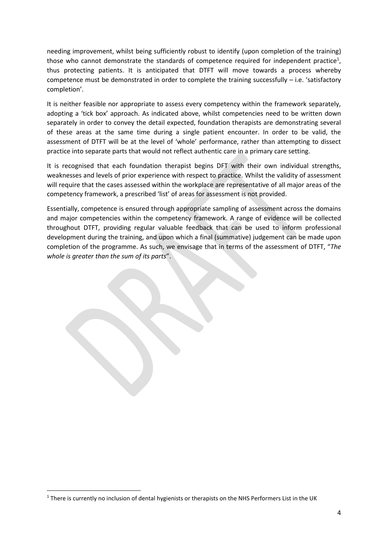needing improvement, whilst being sufficiently robust to identify (upon completion of the training) those who cannot demonstrate the standards of competence required for independent practice<sup>1</sup>, thus protecting patients. It is anticipated that DTFT will move towards a process whereby competence must be demonstrated in order to complete the training successfully  $-$  i.e. 'satisfactory completion'.

It is neither feasible nor appropriate to assess every competency within the framework separately, adopting a 'tick box' approach. As indicated above, whilst competencies need to be written down separately in order to convey the detail expected, foundation therapists are demonstrating several of these areas at the same time during a single patient encounter. In order to be valid, the assessment of DTFT will be at the level of 'whole' performance, rather than attempting to dissect practice into separate parts that would not reflect authentic care in a primary care setting.

It is recognised that each foundation therapist begins DFT with their own individual strengths, weaknesses and levels of prior experience with respect to practice. Whilst the validity of assessment will require that the cases assessed within the workplace are representative of all major areas of the competency framework, a prescribed 'list' of areas for assessment is not provided.

Essentially, competence is ensured through appropriate sampling of assessment across the domains and major competencies within the competency framework. A range of evidence will be collected throughout DTFT, providing regular valuable feedback that can be used to inform professional development during the training, and upon which a final (summative) judgement can be made upon completion of the programme. As such, we envisage that in terms of the assessment of DTFT, "*The whole is greater than the sum of its parts*".

**.** 

<sup>&</sup>lt;sup>1</sup> There is currently no inclusion of dental hygienists or therapists on the NHS Performers List in the UK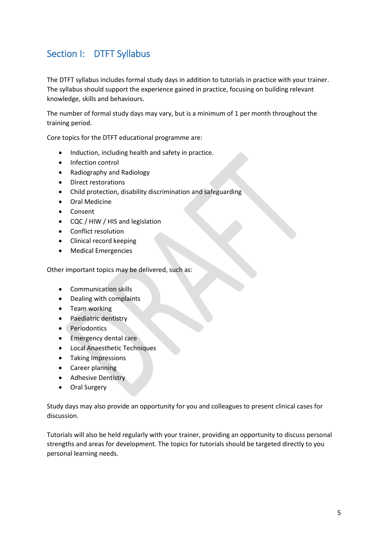## Section I: DTFT Syllabus

The DTFT syllabus includes formal study days in addition to tutorials in practice with your trainer. The syllabus should support the experience gained in practice, focusing on building relevant knowledge, skills and behaviours.

The number of formal study days may vary, but is a minimum of 1 per month throughout the training period.

Core topics for the DTFT educational programme are:

- Induction, including health and safety in practice.
- Infection control
- Radiography and Radiology
- Direct restorations
- Child protection, disability discrimination and safeguarding
- Oral Medicine
- Consent
- CQC / HIW / HIS and legislation
- Conflict resolution
- Clinical record keeping
- Medical Emergencies

Other important topics may be delivered, such as:

- Communication skills
- Dealing with complaints
- Team working
- Paediatric dentistry
- Periodontics
- Emergency dental care
- Local Anaesthetic Techniques
- Taking Impressions
- Career planning
- Adhesive Dentistry
- Oral Surgery

Study days may also provide an opportunity for you and colleagues to present clinical cases for discussion.

Tutorials will also be held regularly with your trainer, providing an opportunity to discuss personal strengths and areas for development. The topics for tutorials should be targeted directly to you personal learning needs.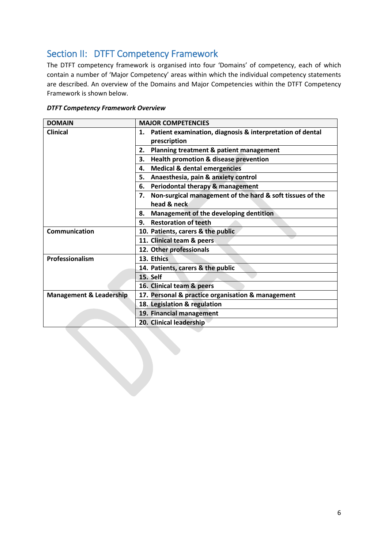## Section II: DTFT Competency Framework

The DTFT competency framework is organised into four 'Domains' of competency, each of which contain a number of 'Major Competency' areas within which the individual competency statements are described. An overview of the Domains and Major Competencies within the DTFT Competency Framework is shown below.

| <b>DOMAIN</b>                      | <b>MAJOR COMPETENCIES</b>                                       |  |  |
|------------------------------------|-----------------------------------------------------------------|--|--|
| <b>Clinical</b>                    | Patient examination, diagnosis & interpretation of dental<br>1. |  |  |
|                                    | prescription                                                    |  |  |
|                                    | Planning treatment & patient management<br>2.                   |  |  |
|                                    | <b>Health promotion &amp; disease prevention</b><br>3.          |  |  |
|                                    | <b>Medical &amp; dental emergencies</b><br>4.                   |  |  |
|                                    | Anaesthesia, pain & anxiety control<br>5.                       |  |  |
|                                    | Periodontal therapy & management<br>6.                          |  |  |
|                                    | 7. Non-surgical management of the hard & soft tissues of the    |  |  |
|                                    | head & neck                                                     |  |  |
|                                    | Management of the developing dentition<br>8.                    |  |  |
|                                    | <b>Restoration of teeth</b><br>9.                               |  |  |
| <b>Communication</b>               | 10. Patients, carers & the public                               |  |  |
|                                    | 11. Clinical team & peers                                       |  |  |
|                                    | 12. Other professionals                                         |  |  |
| Professionalism                    | 13. Ethics                                                      |  |  |
|                                    | 14. Patients, carers & the public                               |  |  |
|                                    | 15. Self                                                        |  |  |
|                                    | 16. Clinical team & peers                                       |  |  |
| <b>Management &amp; Leadership</b> | 17. Personal & practice organisation & management               |  |  |
|                                    | 18. Legislation & regulation                                    |  |  |
|                                    | 19. Financial management                                        |  |  |
|                                    | 20. Clinical leadership                                         |  |  |

#### *DTFT Competency Framework Overview*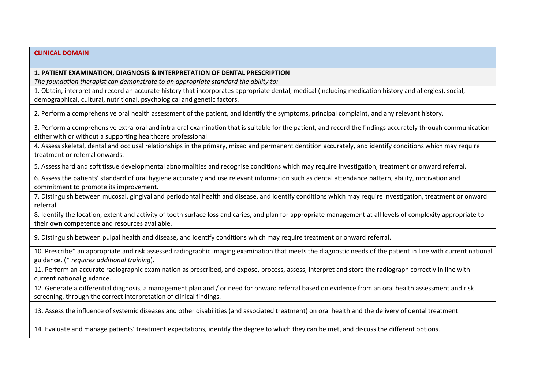#### **1. PATIENT EXAMINATION, DIAGNOSIS & INTERPRETATION OF DENTAL PRESCRIPTION**

*The foundation therapist can demonstrate to an appropriate standard the ability to:*

1. Obtain, interpret and record an accurate history that incorporates appropriate dental, medical (including medication history and allergies), social, demographical, cultural, nutritional, psychological and genetic factors.

2. Perform a comprehensive oral health assessment of the patient, and identify the symptoms, principal complaint, and any relevant history.

3. Perform a comprehensive extra-oral and intra-oral examination that is suitable for the patient, and record the findings accurately through communication either with or without a supporting healthcare professional.

4. Assess skeletal, dental and occlusal relationships in the primary, mixed and permanent dentition accurately, and identify conditions which may require treatment or referral onwards.

5. Assess hard and soft tissue developmental abnormalities and recognise conditions which may require investigation, treatment or onward referral.

6. Assess the patients' standard of oral hygiene accurately and use relevant information such as dental attendance pattern, ability, motivation and commitment to promote its improvement.

7. Distinguish between mucosal, gingival and periodontal health and disease, and identify conditions which may require investigation, treatment or onward referral.

8. Identify the location, extent and activity of tooth surface loss and caries, and plan for appropriate management at all levels of complexity appropriate to their own competence and resources available.

9. Distinguish between pulpal health and disease, and identify conditions which may require treatment or onward referral.

10. Prescribe\* an appropriate and risk assessed radiographic imaging examination that meets the diagnostic needs of the patient in line with current national guidance. (\* *requires additional training*).

11. Perform an accurate radiographic examination as prescribed, and expose, process, assess, interpret and store the radiograph correctly in line with current national guidance.

12. Generate a differential diagnosis, a management plan and / or need for onward referral based on evidence from an oral health assessment and risk screening, through the correct interpretation of clinical findings.

13. Assess the influence of systemic diseases and other disabilities (and associated treatment) on oral health and the delivery of dental treatment.

14. Evaluate and manage patients' treatment expectations, identify the degree to which they can be met, and discuss the different options.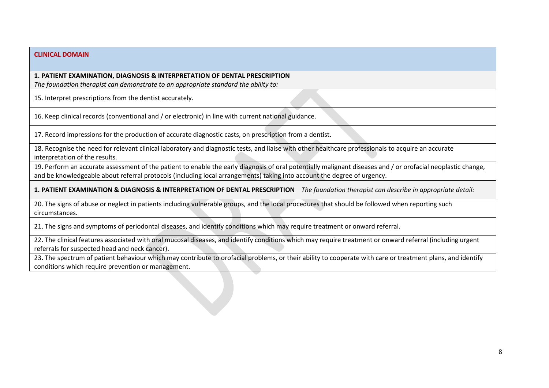#### **1. PATIENT EXAMINATION, DIAGNOSIS & INTERPRETATION OF DENTAL PRESCRIPTION**

*The foundation therapist can demonstrate to an appropriate standard the ability to:*

15. Interpret prescriptions from the dentist accurately.

16. Keep clinical records (conventional and / or electronic) in line with current national guidance.

17. Record impressions for the production of accurate diagnostic casts, on prescription from a dentist.

18. Recognise the need for relevant clinical laboratory and diagnostic tests, and liaise with other healthcare professionals to acquire an accurate interpretation of the results.

19. Perform an accurate assessment of the patient to enable the early diagnosis of oral potentially malignant diseases and / or orofacial neoplastic change, and be knowledgeable about referral protocols (including local arrangements) taking into account the degree of urgency.

**1. PATIENT EXAMINATION & DIAGNOSIS & INTERPRETATION OF DENTAL PRESCRIPTION** *The foundation therapist can describe in appropriate detail:*

20. The signs of abuse or neglect in patients including vulnerable groups, and the local procedures that should be followed when reporting such circumstances.

21. The signs and symptoms of periodontal diseases, and identify conditions which may require treatment or onward referral.

22. The clinical features associated with oral mucosal diseases, and identify conditions which may require treatment or onward referral (including urgent referrals for suspected head and neck cancer).

23. The spectrum of patient behaviour which may contribute to orofacial problems, or their ability to cooperate with care or treatment plans, and identify conditions which require prevention or management.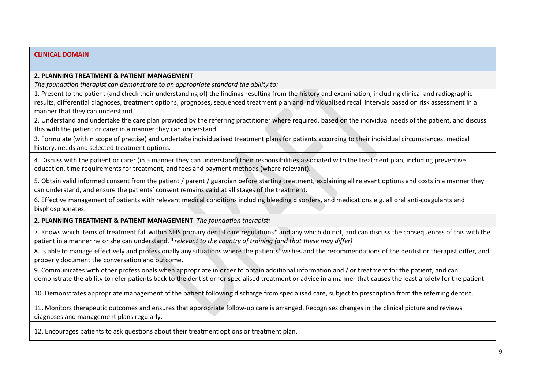#### **2. PLANNING TREATMENT & PATIENT MANAGEMENT**

*The foundation therapist can demonstrate to an appropriate standard the ability to:*

1. Present to the patient (and check their understanding of) the findings resulting from the history and examination, including clinical and radiographic results, differential diagnoses, treatment options, prognoses, sequenced treatment plan and individualised recall intervals based on risk assessment in a manner that they can understand.

2. Understand and undertake the care plan provided by the referring practitioner where required, based on the individual needs of the patient, and discuss this with the patient or carer in a manner they can understand.

3. Formulate (within scope of practise) and undertake individualised treatment plans for patients according to their individual circumstances, medical history, needs and selected treatment options.

4. Discuss with the patient or carer (in a manner they can understand) their responsibilities associated with the treatment plan, including preventive education, time requirements for treatment, and fees and payment methods (where relevant).

5. Obtain valid informed consent from the patient / parent / guardian before starting treatment, explaining all relevant options and costs in a manner they can understand, and ensure the patients' consent remains valid at all stages of the treatment.

6. Effective management of patients with relevant medical conditions including bleeding disorders, and medications e.g. all oral anti-coagulants and bisphosphonates.

**2. PLANNING TREATMENT & PATIENT MANAGEMENT** *The foundation therapist:*

7. Knows which items of treatment fall within NHS primary dental care regulations\* and any which do not, and can discuss the consequences of this with the patient in a manner he or she can understand. \**relevant to the country of training (and that these may differ)*

8. Is able to manage effectively and professionally any situations where the patients' wishes and the recommendations of the dentist or therapist differ, and properly document the conversation and outcome.

9. Communicates with other professionals when appropriate in order to obtain additional information and / or treatment for the patient, and can demonstrate the ability to refer patients back to the dentist or for specialised treatment or advice in a manner that causes the least anxiety for the patient.

10. Demonstrates appropriate management of the patient following discharge from specialised care, subject to prescription from the referring dentist.

11. Monitors therapeutic outcomes and ensures that appropriate follow-up care is arranged. Recognises changes in the clinical picture and reviews diagnoses and management plans regularly.

12. Encourages patients to ask questions about their treatment options or treatment plan.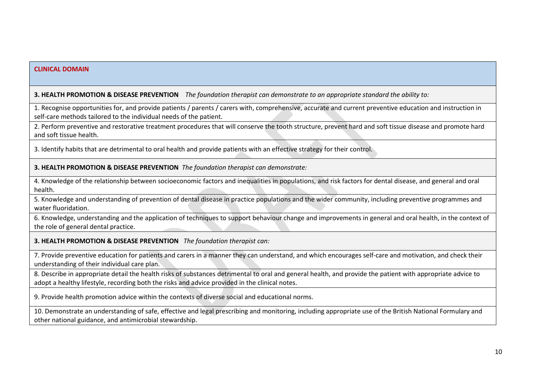#### **3. HEALTH PROMOTION & DISEASE PREVENTION** *The foundation therapist can demonstrate to an appropriate standard the ability to:*

1. Recognise opportunities for, and provide patients / parents / carers with, comprehensive, accurate and current preventive education and instruction in self-care methods tailored to the individual needs of the patient.

2. Perform preventive and restorative treatment procedures that will conserve the tooth structure, prevent hard and soft tissue disease and promote hard and soft tissue health.

3. Identify habits that are detrimental to oral health and provide patients with an effective strategy for their control.

**3. HEALTH PROMOTION & DISEASE PREVENTION** *The foundation therapist can demonstrate:*

4. Knowledge of the relationship between socioeconomic factors and inequalities in populations, and risk factors for dental disease, and general and oral health.

5. Knowledge and understanding of prevention of dental disease in practice populations and the wider community, including preventive programmes and water fluoridation.

6. Knowledge, understanding and the application of techniques to support behaviour change and improvements in general and oral health, in the context of the role of general dental practice.

**3. HEALTH PROMOTION & DISEASE PREVENTION** *The foundation therapist can:*

7. Provide preventive education for patients and carers in a manner they can understand, and which encourages self-care and motivation, and check their understanding of their individual care plan.

8. Describe in appropriate detail the health risks of substances detrimental to oral and general health, and provide the patient with appropriate advice to adopt a healthy lifestyle, recording both the risks and advice provided in the clinical notes.

9. Provide health promotion advice within the contexts of diverse social and educational norms.

10. Demonstrate an understanding of safe, effective and legal prescribing and monitoring, including appropriate use of the British National Formulary and other national guidance, and antimicrobial stewardship.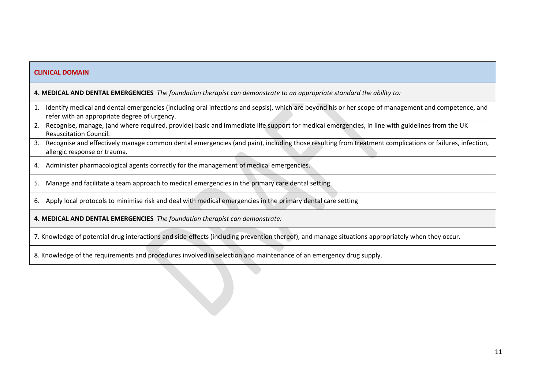| <b>CLINICAL DOMAIN</b>                                                                                                |                                                                                                                                                                                                        |  |  |  |
|-----------------------------------------------------------------------------------------------------------------------|--------------------------------------------------------------------------------------------------------------------------------------------------------------------------------------------------------|--|--|--|
| 4. MEDICAL AND DENTAL EMERGENCIES The foundation therapist can demonstrate to an appropriate standard the ability to: |                                                                                                                                                                                                        |  |  |  |
|                                                                                                                       | 1. Identify medical and dental emergencies (including oral infections and sepsis), which are beyond his or her scope of management and competence, and<br>refer with an appropriate degree of urgency. |  |  |  |
|                                                                                                                       | 2. Recognise, manage, (and where required, provide) basic and immediate life support for medical emergencies, in line with guidelines from the UK<br><b>Resuscitation Council.</b>                     |  |  |  |
|                                                                                                                       | 3. Recognise and effectively manage common dental emergencies (and pain), including those resulting from treatment complications or failures, infection,<br>allergic response or trauma.               |  |  |  |
|                                                                                                                       | 4. Administer pharmacological agents correctly for the management of medical emergencies.                                                                                                              |  |  |  |
|                                                                                                                       | 5. Manage and facilitate a team approach to medical emergencies in the primary care dental setting.                                                                                                    |  |  |  |
|                                                                                                                       | 6. Apply local protocols to minimise risk and deal with medical emergencies in the primary dental care setting                                                                                         |  |  |  |
| 4. MEDICAL AND DENTAL EMERGENCIES The foundation therapist can demonstrate:                                           |                                                                                                                                                                                                        |  |  |  |
|                                                                                                                       | 7. Knowledge of potential drug interactions and side-effects (including prevention thereof), and manage situations appropriately when they occur.                                                      |  |  |  |

8. Knowledge of the requirements and procedures involved in selection and maintenance of an emergency drug supply.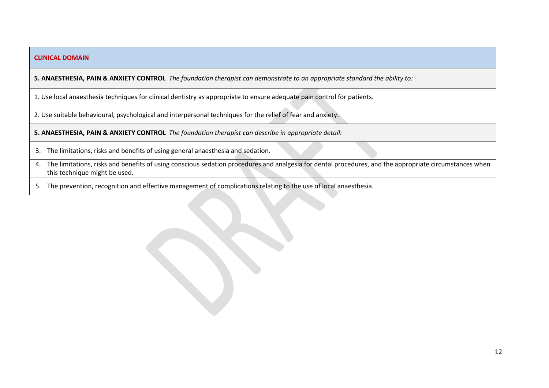**5. ANAESTHESIA, PAIN & ANXIETY CONTROL** *The foundation therapist can demonstrate to an appropriate standard the ability to:*

1. Use local anaesthesia techniques for clinical dentistry as appropriate to ensure adequate pain control for patients.

2. Use suitable behavioural, psychological and interpersonal techniques for the relief of fear and anxiety.

**5. ANAESTHESIA, PAIN & ANXIETY CONTROL** *The foundation therapist can describe in appropriate detail:*

- 3. The limitations, risks and benefits of using general anaesthesia and sedation.
- 4. The limitations, risks and benefits of using conscious sedation procedures and analgesia for dental procedures, and the appropriate circumstances when this technique might be used.
- 5. The prevention, recognition and effective management of complications relating to the use of local anaesthesia.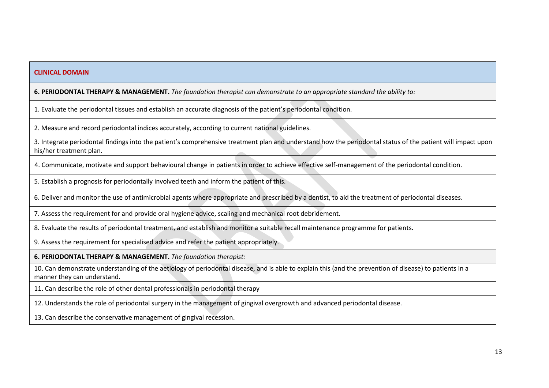#### **6. PERIODONTAL THERAPY & MANAGEMENT.** *The foundation therapist can demonstrate to an appropriate standard the ability to:*

1. Evaluate the periodontal tissues and establish an accurate diagnosis of the patient's periodontal condition.

2. Measure and record periodontal indices accurately, according to current national guidelines.

3. Integrate periodontal findings into the patient's comprehensive treatment plan and understand how the periodontal status of the patient will impact upon his/her treatment plan.

4. Communicate, motivate and support behavioural change in patients in order to achieve effective self-management of the periodontal condition.

5. Establish a prognosis for periodontally involved teeth and inform the patient of this.

6. Deliver and monitor the use of antimicrobial agents where appropriate and prescribed by a dentist, to aid the treatment of periodontal diseases.

7. Assess the requirement for and provide oral hygiene advice, scaling and mechanical root debridement.

8. Evaluate the results of periodontal treatment, and establish and monitor a suitable recall maintenance programme for patients.

9. Assess the requirement for specialised advice and refer the patient appropriately.

**6. PERIODONTAL THERAPY & MANAGEMENT.** *The foundation therapist:*

10. Can demonstrate understanding of the aetiology of periodontal disease, and is able to explain this (and the prevention of disease) to patients in a manner they can understand.

11. Can describe the role of other dental professionals in periodontal therapy

12. Understands the role of periodontal surgery in the management of gingival overgrowth and advanced periodontal disease.

13. Can describe the conservative management of gingival recession.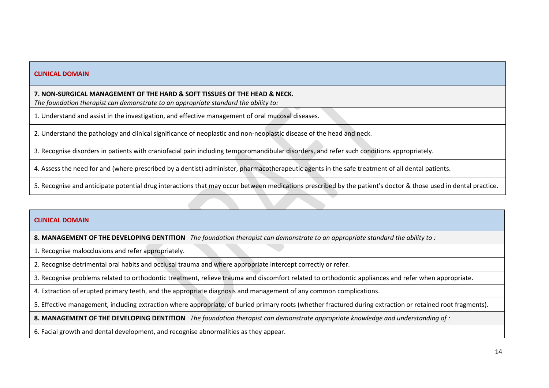**7. NON-SURGICAL MANAGEMENT OF THE HARD & SOFT TISSUES OF THE HEAD & NECK.** 

*The foundation therapist can demonstrate to an appropriate standard the ability to:*

1. Understand and assist in the investigation, and effective management of oral mucosal diseases.

2. Understand the pathology and clinical significance of neoplastic and non-neoplastic disease of the head and neck.

3. Recognise disorders in patients with craniofacial pain including temporomandibular disorders, and refer such conditions appropriately.

4. Assess the need for and (where prescribed by a dentist) administer, pharmacotherapeutic agents in the safe treatment of all dental patients.

5. Recognise and anticipate potential drug interactions that may occur between medications prescribed by the patient's doctor & those used in dental practice.

#### **CLINICAL DOMAIN**

**8. MANAGEMENT OF THE DEVELOPING DENTITION** *The foundation therapist can demonstrate to an appropriate standard the ability to :*

1. Recognise malocclusions and refer appropriately.

2. Recognise detrimental oral habits and occlusal trauma and where appropriate intercept correctly or refer.

3. Recognise problems related to orthodontic treatment, relieve trauma and discomfort related to orthodontic appliances and refer when appropriate.

4. Extraction of erupted primary teeth, and the appropriate diagnosis and management of any common complications.

5. Effective management, including extraction where appropriate, of buried primary roots (whether fractured during extraction or retained root fragments).

**8. MANAGEMENT OF THE DEVELOPING DENTITION** *The foundation therapist can demonstrate appropriate knowledge and understanding of :*

6. Facial growth and dental development, and recognise abnormalities as they appear.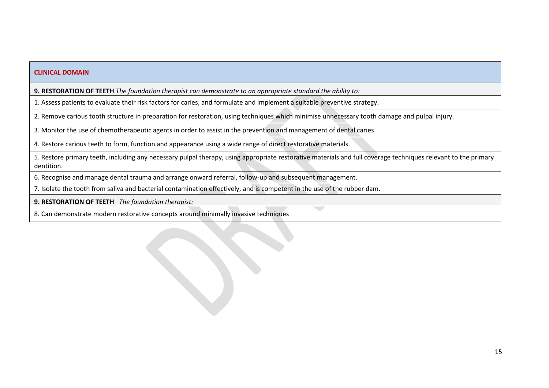**9. RESTORATION OF TEETH** *The foundation therapist can demonstrate to an appropriate standard the ability to:*

1. Assess patients to evaluate their risk factors for caries, and formulate and implement a suitable preventive strategy.

2. Remove carious tooth structure in preparation for restoration, using techniques which minimise unnecessary tooth damage and pulpal injury.

3. Monitor the use of chemotherapeutic agents in order to assist in the prevention and management of dental caries.

4. Restore carious teeth to form, function and appearance using a wide range of direct restorative materials.

5. Restore primary teeth, including any necessary pulpal therapy, using appropriate restorative materials and full coverage techniques relevant to the primary dentition.

6. Recognise and manage dental trauma and arrange onward referral, follow-up and subsequent management.

7. Isolate the tooth from saliva and bacterial contamination effectively, and is competent in the use of the rubber dam.

**9. RESTORATION OF TEETH** *The foundation therapist:*

8. Can demonstrate modern restorative concepts around minimally invasive techniques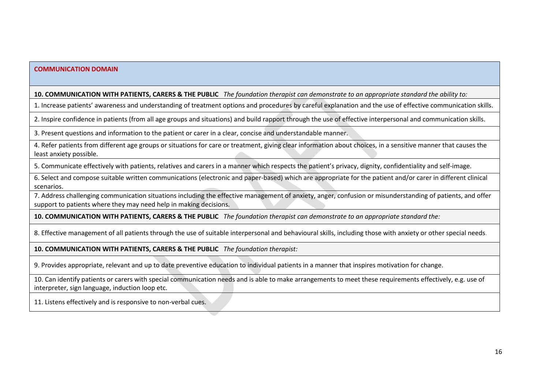#### **COMMUNICATION DOMAIN**

#### **10. COMMUNICATION WITH PATIENTS, CARERS & THE PUBLIC** *The foundation therapist can demonstrate to an appropriate standard the ability to:*

1. Increase patients' awareness and understanding of treatment options and procedures by careful explanation and the use of effective communication skills.

2. Inspire confidence in patients (from all age groups and situations) and build rapport through the use of effective interpersonal and communication skills.

3. Present questions and information to the patient or carer in a clear, concise and understandable manner.

4. Refer patients from different age groups or situations for care or treatment, giving clear information about choices, in a sensitive manner that causes the least anxiety possible.

5. Communicate effectively with patients, relatives and carers in a manner which respects the patient's privacy, dignity, confidentiality and self-image.

6. Select and compose suitable written communications (electronic and paper-based) which are appropriate for the patient and/or carer in different clinical scenarios.

7. Address challenging communication situations including the effective management of anxiety, anger, confusion or misunderstanding of patients, and offer support to patients where they may need help in making decisions.

**10. COMMUNICATION WITH PATIENTS, CARERS & THE PUBLIC** *The foundation therapist can demonstrate to an appropriate standard the:*

8. Effective management of all patients through the use of suitable interpersonal and behavioural skills, including those with anxiety or other special needs.

**10. COMMUNICATION WITH PATIENTS, CARERS & THE PUBLIC** *The foundation therapist:*

9. Provides appropriate, relevant and up to date preventive education to individual patients in a manner that inspires motivation for change.

10. Can identify patients or carers with special communication needs and is able to make arrangements to meet these requirements effectively, e.g. use of interpreter, sign language, induction loop etc.

11. Listens effectively and is responsive to non-verbal cues.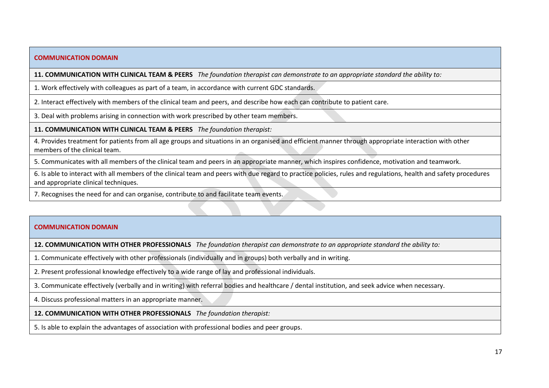#### **COMMUNICATION DOMAIN**

**11. COMMUNICATION WITH CLINICAL TEAM & PEERS** *The foundation therapist can demonstrate to an appropriate standard the ability to:*

1. Work effectively with colleagues as part of a team, in accordance with current GDC standards.

2. Interact effectively with members of the clinical team and peers, and describe how each can contribute to patient care.

3. Deal with problems arising in connection with work prescribed by other team members.

**11. COMMUNICATION WITH CLINICAL TEAM & PEERS** *The foundation therapist:*

4. Provides treatment for patients from all age groups and situations in an organised and efficient manner through appropriate interaction with other members of the clinical team.

5. Communicates with all members of the clinical team and peers in an appropriate manner, which inspires confidence, motivation and teamwork.

6. Is able to interact with all members of the clinical team and peers with due regard to practice policies, rules and regulations, health and safety procedures and appropriate clinical techniques.

7. Recognises the need for and can organise, contribute to and facilitate team events.

#### **COMMUNICATION DOMAIN**

**12. COMMUNICATION WITH OTHER PROFESSIONALS** *The foundation therapist can demonstrate to an appropriate standard the ability to:*

1. Communicate effectively with other professionals (individually and in groups) both verbally and in writing.

2. Present professional knowledge effectively to a wide range of lay and professional individuals.

3. Communicate effectively (verbally and in writing) with referral bodies and healthcare / dental institution, and seek advice when necessary.

4. Discuss professional matters in an appropriate manner.

**12. COMMUNICATION WITH OTHER PROFESSIONALS** *The foundation therapist:*

5. Is able to explain the advantages of association with professional bodies and peer groups.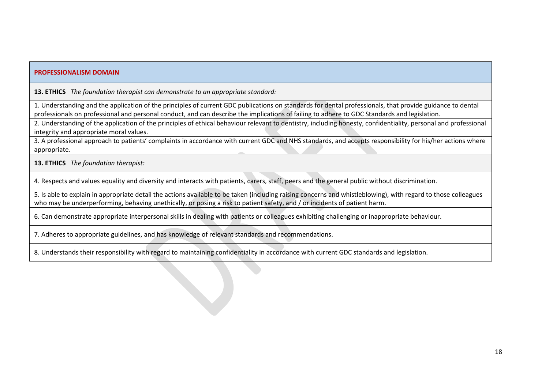**13. ETHICS** *The foundation therapist can demonstrate to an appropriate standard:*

1. Understanding and the application of the principles of current GDC publications on standards for dental professionals, that provide guidance to dental professionals on professional and personal conduct, and can describe the implications of failing to adhere to GDC Standards and legislation.

2. Understanding of the application of the principles of ethical behaviour relevant to dentistry, including honesty, confidentiality, personal and professional integrity and appropriate moral values.

3. A professional approach to patients' complaints in accordance with current GDC and NHS standards, and accepts responsibility for his/her actions where appropriate.

**13. ETHICS** *The foundation therapist:*

4. Respects and values equality and diversity and interacts with patients, carers, staff, peers and the general public without discrimination.

5. Is able to explain in appropriate detail the actions available to be taken (including raising concerns and whistleblowing), with regard to those colleagues who may be underperforming, behaving unethically, or posing a risk to patient safety, and / or incidents of patient harm.

6. Can demonstrate appropriate interpersonal skills in dealing with patients or colleagues exhibiting challenging or inappropriate behaviour.

7. Adheres to appropriate guidelines, and has knowledge of relevant standards and recommendations.

8. Understands their responsibility with regard to maintaining confidentiality in accordance with current GDC standards and legislation.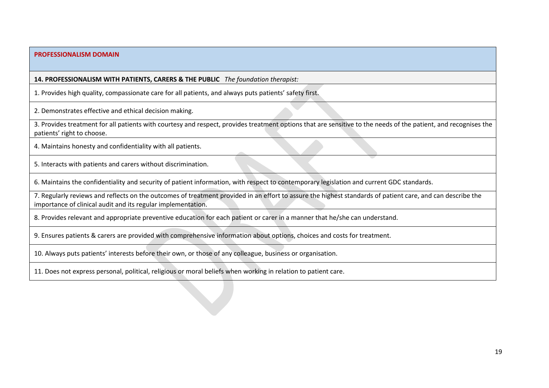**14. PROFESSIONALISM WITH PATIENTS, CARERS & THE PUBLIC** *The foundation therapist:*

1. Provides high quality, compassionate care for all patients, and always puts patients' safety first.

2. Demonstrates effective and ethical decision making.

3. Provides treatment for all patients with courtesy and respect, provides treatment options that are sensitive to the needs of the patient, and recognises the patients' right to choose.

4. Maintains honesty and confidentiality with all patients.

5. Interacts with patients and carers without discrimination.

6. Maintains the confidentiality and security of patient information, with respect to contemporary legislation and current GDC standards.

7. Regularly reviews and reflects on the outcomes of treatment provided in an effort to assure the highest standards of patient care, and can describe the importance of clinical audit and its regular implementation.

8. Provides relevant and appropriate preventive education for each patient or carer in a manner that he/she can understand.

9. Ensures patients & carers are provided with comprehensive information about options, choices and costs for treatment.

10. Always puts patients' interests before their own, or those of any colleague, business or organisation.

11. Does not express personal, political, religious or moral beliefs when working in relation to patient care.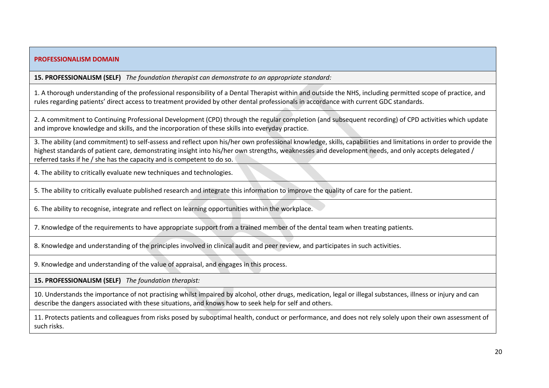**15. PROFESSIONALISM (SELF)** *The foundation therapist can demonstrate to an appropriate standard:*

1. A thorough understanding of the professional responsibility of a Dental Therapist within and outside the NHS, including permitted scope of practice, and rules regarding patients' direct access to treatment provided by other dental professionals in accordance with current GDC standards.

2. A commitment to Continuing Professional Development (CPD) through the regular completion (and subsequent recording) of CPD activities which update and improve knowledge and skills, and the incorporation of these skills into everyday practice.

3. The ability (and commitment) to self-assess and reflect upon his/her own professional knowledge, skills, capabilities and limitations in order to provide the highest standards of patient care, demonstrating insight into his/her own strengths, weaknesses and development needs, and only accepts delegated / referred tasks if he / she has the capacity and is competent to do so.

4. The ability to critically evaluate new techniques and technologies.

5. The ability to critically evaluate published research and integrate this information to improve the quality of care for the patient.

6. The ability to recognise, integrate and reflect on learning opportunities within the workplace.

7. Knowledge of the requirements to have appropriate support from a trained member of the dental team when treating patients.

8. Knowledge and understanding of the principles involved in clinical audit and peer review, and participates in such activities.

9. Knowledge and understanding of the value of appraisal, and engages in this process.

**15. PROFESSIONALISM (SELF)** *The foundation therapist:*

10. Understands the importance of not practising whilst impaired by alcohol, other drugs, medication, legal or illegal substances, illness or injury and can describe the dangers associated with these situations, and knows how to seek help for self and others.

11. Protects patients and colleagues from risks posed by suboptimal health, conduct or performance, and does not rely solely upon their own assessment of such risks.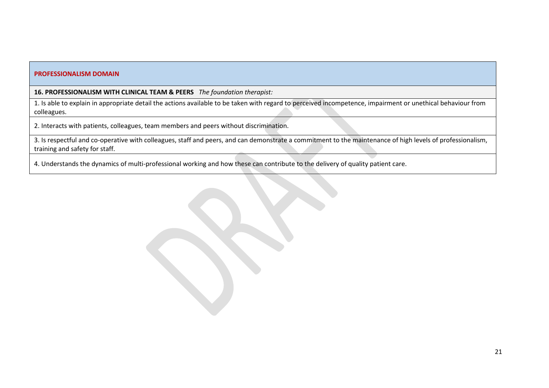**16. PROFESSIONALISM WITH CLINICAL TEAM & PEERS** *The foundation therapist:*

1. Is able to explain in appropriate detail the actions available to be taken with regard to perceived incompetence, impairment or unethical behaviour from colleagues.

2. Interacts with patients, colleagues, team members and peers without discrimination.

3. Is respectful and co-operative with colleagues, staff and peers, and can demonstrate a commitment to the maintenance of high levels of professionalism, training and safety for staff.

4. Understands the dynamics of multi-professional working and how these can contribute to the delivery of quality patient care.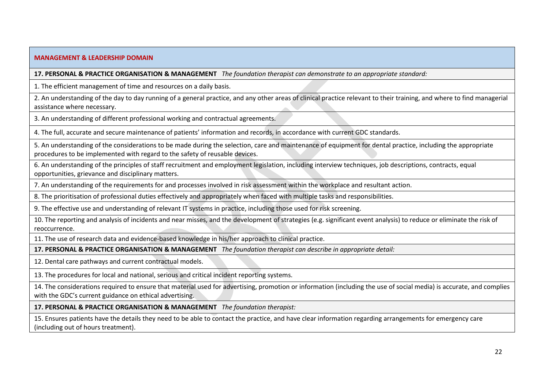#### **MANAGEMENT & LEADERSHIP DOMAIN**

**17. PERSONAL & PRACTICE ORGANISATION & MANAGEMENT** *The foundation therapist can demonstrate to an appropriate standard:*

1. The efficient management of time and resources on a daily basis.

2. An understanding of the day to day running of a general practice, and any other areas of clinical practice relevant to their training, and where to find managerial assistance where necessary.

3. An understanding of different professional working and contractual agreements.

4. The full, accurate and secure maintenance of patients' information and records, in accordance with current GDC standards.

5. An understanding of the considerations to be made during the selection, care and maintenance of equipment for dental practice, including the appropriate procedures to be implemented with regard to the safety of reusable devices.

6. An understanding of the principles of staff recruitment and employment legislation, including interview techniques, job descriptions, contracts, equal opportunities, grievance and disciplinary matters.

7. An understanding of the requirements for and processes involved in risk assessment within the workplace and resultant action.

8. The prioritisation of professional duties effectively and appropriately when faced with multiple tasks and responsibilities.

9. The effective use and understanding of relevant IT systems in practice, including those used for risk screening.

10. The reporting and analysis of incidents and near misses, and the development of strategies (e.g. significant event analysis) to reduce or eliminate the risk of reoccurrence.

11. The use of research data and evidence-based knowledge in his/her approach to clinical practice.

**17. PERSONAL & PRACTICE ORGANISATION & MANAGEMENT** *The foundation therapist can describe in appropriate detail:*

12. Dental care pathways and current contractual models.

13. The procedures for local and national, serious and critical incident reporting systems.

14. The considerations required to ensure that material used for advertising, promotion or information (including the use of social media) is accurate, and complies with the GDC's current guidance on ethical advertising.

**17. PERSONAL & PRACTICE ORGANISATION & MANAGEMENT** *The foundation therapist:*

15. Ensures patients have the details they need to be able to contact the practice, and have clear information regarding arrangements for emergency care (including out of hours treatment).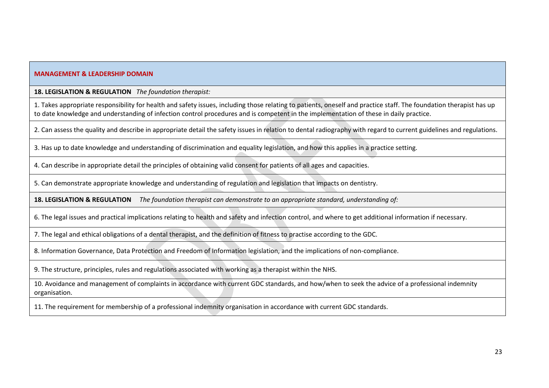#### **MANAGEMENT & LEADERSHIP DOMAIN**

**18. LEGISLATION & REGULATION** *The foundation therapist:*

1. Takes appropriate responsibility for health and safety issues, including those relating to patients, oneself and practice staff. The foundation therapist has up to date knowledge and understanding of infection control procedures and is competent in the implementation of these in daily practice.

2. Can assess the quality and describe in appropriate detail the safety issues in relation to dental radiography with regard to current guidelines and regulations.

3. Has up to date knowledge and understanding of discrimination and equality legislation, and how this applies in a practice setting.

4. Can describe in appropriate detail the principles of obtaining valid consent for patients of all ages and capacities.

5. Can demonstrate appropriate knowledge and understanding of regulation and legislation that impacts on dentistry.

**18. LEGISLATION & REGULATION** *The foundation therapist can demonstrate to an appropriate standard, understanding of:*

6. The legal issues and practical implications relating to health and safety and infection control, and where to get additional information if necessary.

7. The legal and ethical obligations of a dental therapist, and the definition of fitness to practise according to the GDC.

8. Information Governance, Data Protection and Freedom of Information legislation, and the implications of non-compliance.

9. The structure, principles, rules and regulations associated with working as a therapist within the NHS.

10. Avoidance and management of complaints in accordance with current GDC standards, and how/when to seek the advice of a professional indemnity organisation.

11. The requirement for membership of a professional indemnity organisation in accordance with current GDC standards.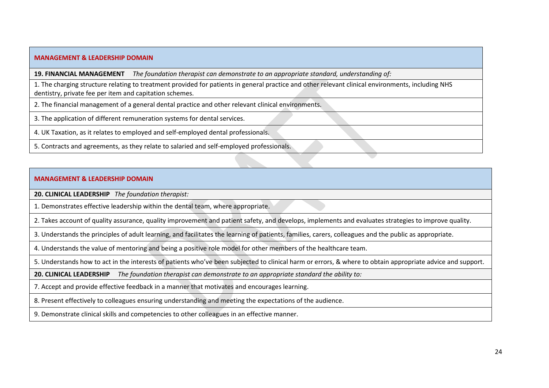#### **MANAGEMENT & LEADERSHIP DOMAIN**

**19. FINANCIAL MANAGEMENT** *The foundation therapist can demonstrate to an appropriate standard, understanding of:*

1. The charging structure relating to treatment provided for patients in general practice and other relevant clinical environments, including NHS dentistry, private fee per item and capitation schemes.

2. The financial management of a general dental practice and other relevant clinical environments.

3. The application of different remuneration systems for dental services.

4. UK Taxation, as it relates to employed and self-employed dental professionals.

5. Contracts and agreements, as they relate to salaried and self-employed professionals.

#### **MANAGEMENT & LEADERSHIP DOMAIN**

**20. CLINICAL LEADERSHIP** *The foundation therapist:*

1. Demonstrates effective leadership within the dental team, where appropriate.

2. Takes account of quality assurance, quality improvement and patient safety, and develops, implements and evaluates strategies to improve quality.

3. Understands the principles of adult learning, and facilitates the learning of patients, families, carers, colleagues and the public as appropriate.

4. Understands the value of mentoring and being a positive role model for other members of the healthcare team.

5. Understands how to act in the interests of patients who've been subjected to clinical harm or errors, & where to obtain appropriate advice and support.

**20. CLINICAL LEADERSHIP** *The foundation therapist can demonstrate to an appropriate standard the ability to:*

7. Accept and provide effective feedback in a manner that motivates and encourages learning.

8. Present effectively to colleagues ensuring understanding and meeting the expectations of the audience.

9. Demonstrate clinical skills and competencies to other colleagues in an effective manner.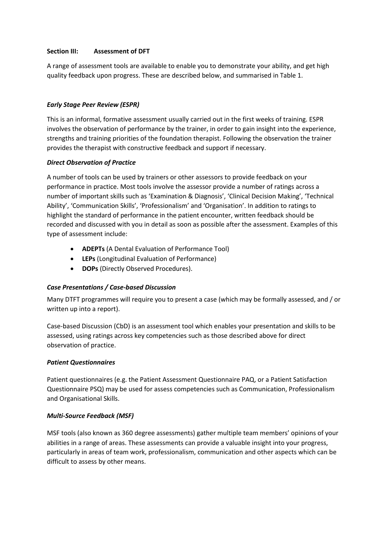#### **Section III: Assessment of DFT**

A range of assessment tools are available to enable you to demonstrate your ability, and get high quality feedback upon progress. These are described below, and summarised in Table 1.

#### *Early Stage Peer Review (ESPR)*

This is an informal, formative assessment usually carried out in the first weeks of training. ESPR involves the observation of performance by the trainer, in order to gain insight into the experience, strengths and training priorities of the foundation therapist. Following the observation the trainer provides the therapist with constructive feedback and support if necessary.

#### *Direct Observation of Practice*

A number of tools can be used by trainers or other assessors to provide feedback on your performance in practice. Most tools involve the assessor provide a number of ratings across a number of important skills such as 'Examination & Diagnosis', 'Clinical Decision Making', 'Technical Ability', 'Communication Skills', 'Professionalism' and 'Organisation'. In addition to ratings to highlight the standard of performance in the patient encounter, written feedback should be recorded and discussed with you in detail as soon as possible after the assessment. Examples of this type of assessment include:

- **ADEPTs** (A Dental Evaluation of Performance Tool)
- **LEPs** (Longitudinal Evaluation of Performance)
- **DOPs** (Directly Observed Procedures).

#### *Case Presentations / Case-based Discussion*

Many DTFT programmes will require you to present a case (which may be formally assessed, and / or written up into a report).

Case-based Discussion (CbD) is an assessment tool which enables your presentation and skills to be assessed, using ratings across key competencies such as those described above for direct observation of practice.

#### *Patient Questionnaires*

Patient questionnaires (e.g. the Patient Assessment Questionnaire PAQ, or a Patient Satisfaction Questionnaire PSQ) may be used for assess competencies such as Communication, Professionalism and Organisational Skills.

#### *Multi-Source Feedback (MSF)*

MSF tools (also known as 360 degree assessments) gather multiple team members' opinions of your abilities in a range of areas. These assessments can provide a valuable insight into your progress, particularly in areas of team work, professionalism, communication and other aspects which can be difficult to assess by other means.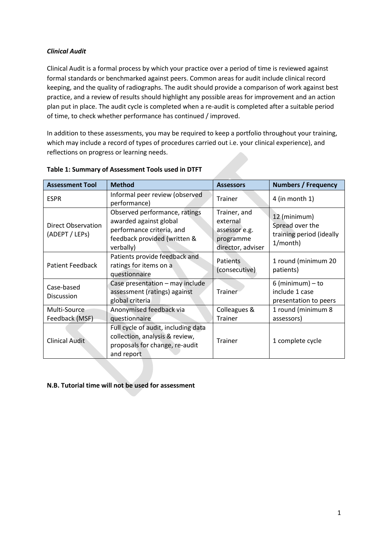#### *Clinical Audit*

Clinical Audit is a formal process by which your practice over a period of time is reviewed against formal standards or benchmarked against peers. Common areas for audit include clinical record keeping, and the quality of radiographs. The audit should provide a comparison of work against best practice, and a review of results should highlight any possible areas for improvement and an action plan put in place. The audit cycle is completed when a re-audit is completed after a suitable period of time, to check whether performance has continued / improved.

In addition to these assessments, you may be required to keep a portfolio throughout your training, which may include a record of types of procedures carried out i.e. your clinical experience), and reflections on progress or learning needs.

| <b>Assessment Tool</b>                                                                                                | <b>Method</b>                                                                                                                     | <b>Assessors</b>                                                            | <b>Numbers / Frequency</b>                                              |
|-----------------------------------------------------------------------------------------------------------------------|-----------------------------------------------------------------------------------------------------------------------------------|-----------------------------------------------------------------------------|-------------------------------------------------------------------------|
| <b>ESPR</b>                                                                                                           | Informal peer review (observed<br>performance)                                                                                    | Trainer                                                                     | $4$ (in month 1)                                                        |
| Direct Observation<br>(ADEPT / LEPs)                                                                                  | Observed performance, ratings<br>awarded against global<br>performance criteria, and<br>feedback provided (written &<br>verbally) | Trainer, and<br>external<br>assessor e.g.<br>programme<br>director, adviser | 12 (minimum)<br>Spread over the<br>training period (ideally<br>1/month) |
| Patient Feedback                                                                                                      | Patients provide feedback and<br>ratings for items on a<br>questionnaire                                                          | Patients<br>(consecutive)                                                   | 1 round (minimum 20<br>patients)                                        |
| Case presentation - may include<br>Case-based<br>assessment (ratings) against<br><b>Discussion</b><br>global criteria |                                                                                                                                   | Trainer                                                                     | $6$ (minimum) – to<br>include 1 case<br>presentation to peers           |
| Multi-Source<br>Feedback (MSF)                                                                                        | Anonymised feedback via<br>questionnaire                                                                                          | Colleagues &<br><b>Trainer</b>                                              | 1 round (minimum 8<br>assessors)                                        |
| <b>Clinical Audit</b>                                                                                                 | Full cycle of audit, including data<br>collection, analysis & review,<br>proposals for change, re-audit<br>and report             | <b>Trainer</b>                                                              | 1 complete cycle                                                        |

#### **Table 1: Summary of Assessment Tools used in DTFT**

#### **N.B. Tutorial time will not be used for assessment**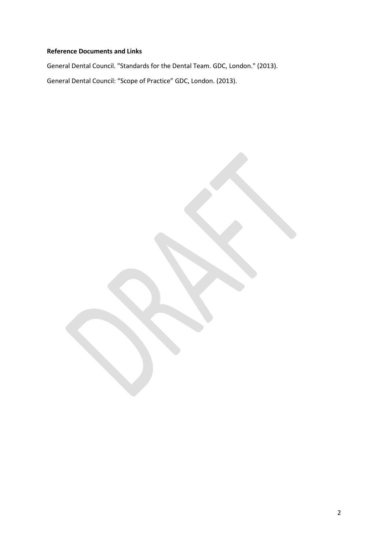#### **Reference Documents and Links**

General Dental Council. "Standards for the Dental Team. GDC, London." (2013). General Dental Council: "Scope of Practice" GDC, London. (2013).